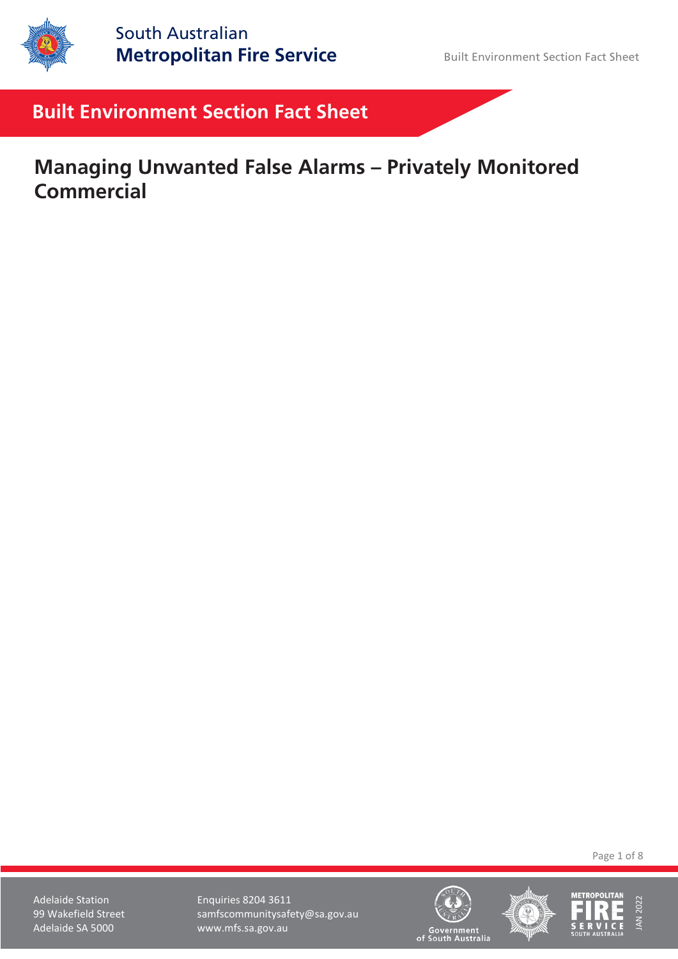

# **Built Environment Section Fact Sheet**

# **Managing Unwanted False Alarms – Privately Monitored Commercial**

Page 1 of 8

Adelaide Station **Enquiries 8204 3611** 99 Wakefield Street samfscommunitysafety@sa.gov.au Adelaide SA 5000 www.mfs.sa.gov.au





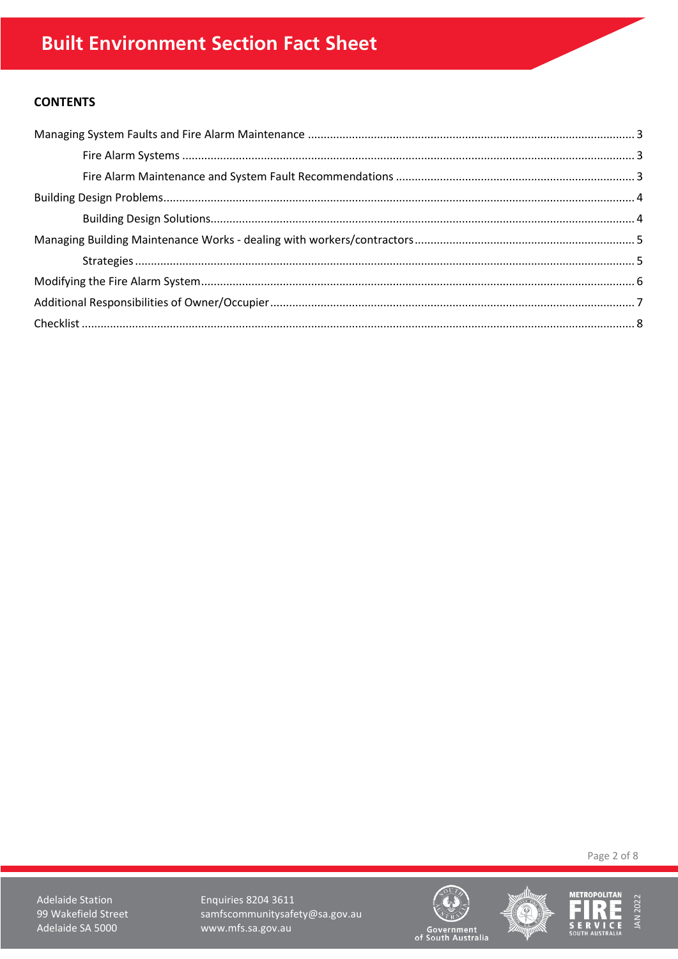# **CONTENTS**

Page 2 of 8

**Adelaide Station** 99 Wakefield Street Adelaide SA 5000

**Enquiries 8204 3611** samfscommunitysafety@sa.gov.au www.mfs.sa.gov.au





**METROPOLITAN IAN 2022** Đ, E E. **SERVICE**<br>SOUTH AUSTRALIA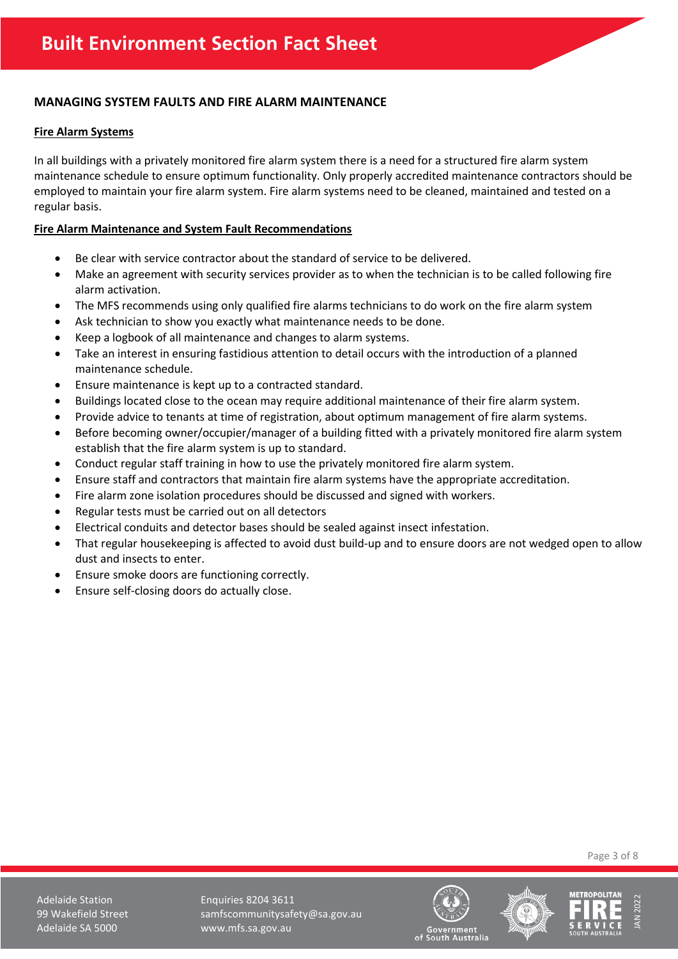# <span id="page-2-0"></span>**MANAGING SYSTEM FAULTS AND FIRE ALARM MAINTENANCE**

#### <span id="page-2-1"></span>**Fire Alarm Systems**

In all buildings with a privately monitored fire alarm system there is a need for a structured fire alarm system maintenance schedule to ensure optimum functionality. Only properly accredited maintenance contractors should be employed to maintain your fire alarm system. Fire alarm systems need to be cleaned, maintained and tested on a regular basis.

#### <span id="page-2-2"></span>**Fire Alarm Maintenance and System Fault Recommendations**

- Be clear with service contractor about the standard of service to be delivered.
- Make an agreement with security services provider as to when the technician is to be called following fire alarm activation.
- The MFS recommends using only qualified fire alarms technicians to do work on the fire alarm system
- Ask technician to show you exactly what maintenance needs to be done.
- Keep a logbook of all maintenance and changes to alarm systems.
- Take an interest in ensuring fastidious attention to detail occurs with the introduction of a planned maintenance schedule.
- Ensure maintenance is kept up to a contracted standard.
- Buildings located close to the ocean may require additional maintenance of their fire alarm system.
- Provide advice to tenants at time of registration, about optimum management of fire alarm systems.
- Before becoming owner/occupier/manager of a building fitted with a privately monitored fire alarm system establish that the fire alarm system is up to standard.
- Conduct regular staff training in how to use the privately monitored fire alarm system.
- Ensure staff and contractors that maintain fire alarm systems have the appropriate accreditation.
- Fire alarm zone isolation procedures should be discussed and signed with workers.
- Regular tests must be carried out on all detectors
- Electrical conduits and detector bases should be sealed against insect infestation.
- That regular housekeeping is affected to avoid dust build-up and to ensure doors are not wedged open to allow dust and insects to enter.
- Ensure smoke doors are functioning correctly.
- Ensure self-closing doors do actually close.

Page 3 of 8

Adelaide Station **Enquiries 8204 3611** 99 Wakefield Street samfscommunitysafety@sa.gov.au Adelaide SA 5000 www.mfs.sa.gov.au





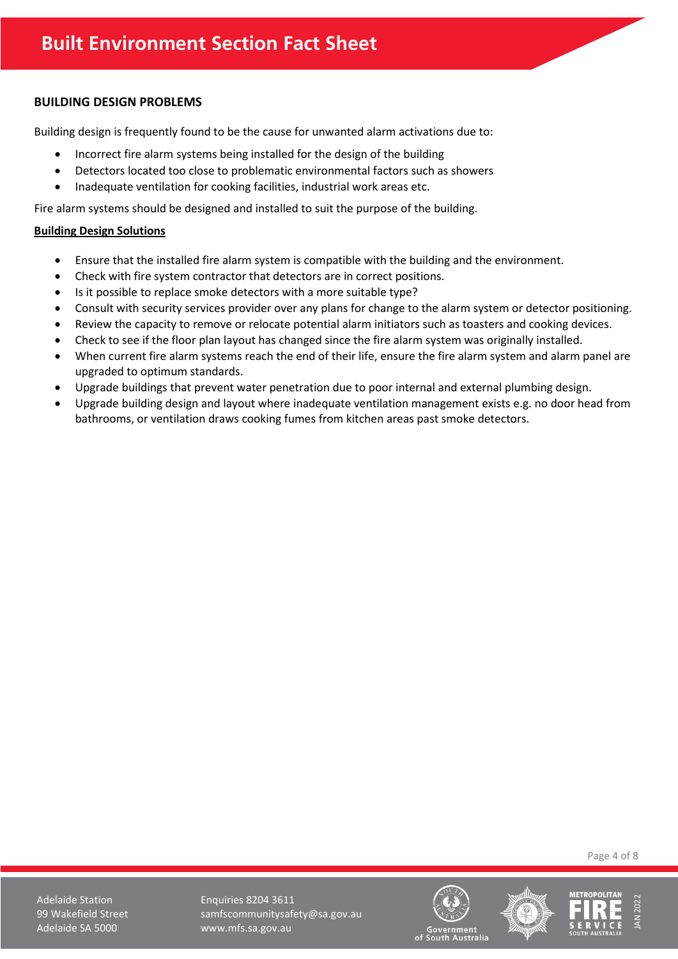# <span id="page-3-0"></span>**BUILDING DESIGN PROBLEMS**

Building design is frequently found to be the cause for unwanted alarm activations due to:

- Incorrect fire alarm systems being installed for the design of the building
- Detectors located too close to problematic environmental factors such as showers
- Inadequate ventilation for cooking facilities, industrial work areas etc.

Fire alarm systems should be designed and installed to suit the purpose of the building.

### <span id="page-3-1"></span>**Building Design Solutions**

- Ensure that the installed fire alarm system is compatible with the building and the environment.
- Check with fire system contractor that detectors are in correct positions.
- Is it possible to replace smoke detectors with a more suitable type?
- Consult with security services provider over any plans for change to the alarm system or detector positioning.
- Review the capacity to remove or relocate potential alarm initiators such as toasters and cooking devices.
- Check to see if the floor plan layout has changed since the fire alarm system was originally installed.
- When current fire alarm systems reach the end of their life, ensure the fire alarm system and alarm panel are upgraded to optimum standards.
- Upgrade buildings that prevent water penetration due to poor internal and external plumbing design.
- Upgrade building design and layout where inadequate ventilation management exists e.g. no door head from bathrooms, or ventilation draws cooking fumes from kitchen areas past smoke detectors.

Page 4 of 8

Adelaide Station Enquiries 8204 3611 99 Wakefield Street samfscommunitysafety@sa.gov.au Adelaide SA 5000 www.mfs.sa.gov.au





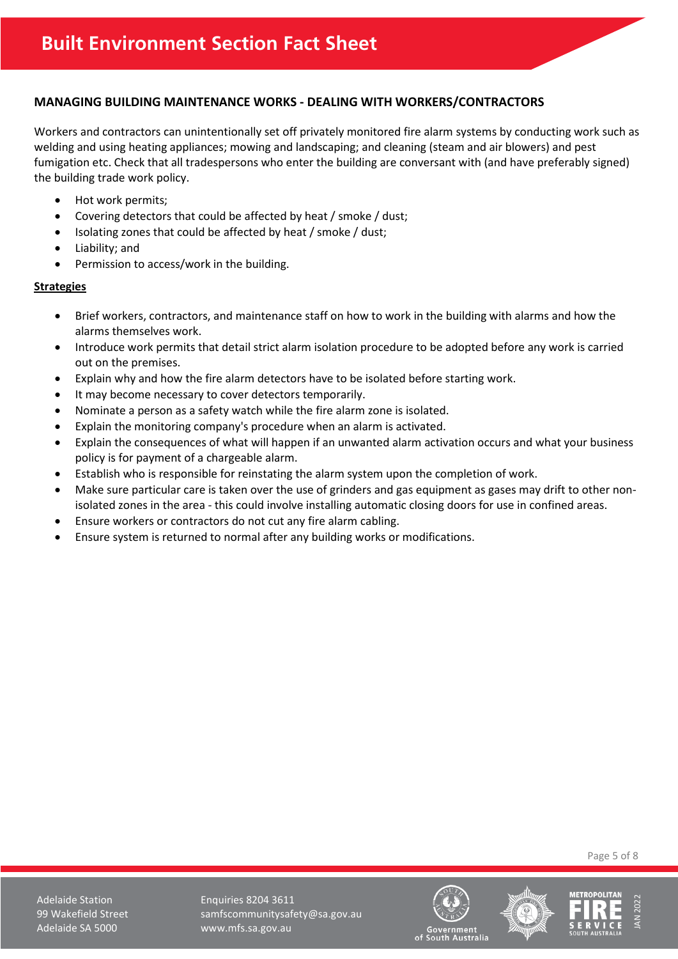# <span id="page-4-0"></span>**MANAGING BUILDING MAINTENANCE WORKS - DEALING WITH WORKERS/CONTRACTORS**

Workers and contractors can unintentionally set off privately monitored fire alarm systems by conducting work such as welding and using heating appliances; mowing and landscaping; and cleaning (steam and air blowers) and pest fumigation etc. Check that all tradespersons who enter the building are conversant with (and have preferably signed) the building trade work policy.

- Hot work permits;
- Covering detectors that could be affected by heat / smoke / dust;
- Isolating zones that could be affected by heat / smoke / dust;
- Liability; and
- Permission to access/work in the building.

#### <span id="page-4-1"></span>**Strategies**

- Brief workers, contractors, and maintenance staff on how to work in the building with alarms and how the alarms themselves work.
- Introduce work permits that detail strict alarm isolation procedure to be adopted before any work is carried out on the premises.
- Explain why and how the fire alarm detectors have to be isolated before starting work.
- It may become necessary to cover detectors temporarily.
- Nominate a person as a safety watch while the fire alarm zone is isolated.
- Explain the monitoring company's procedure when an alarm is activated.
- Explain the consequences of what will happen if an unwanted alarm activation occurs and what your business policy is for payment of a chargeable alarm.
- Establish who is responsible for reinstating the alarm system upon the completion of work.
- Make sure particular care is taken over the use of grinders and gas equipment as gases may drift to other nonisolated zones in the area - this could involve installing automatic closing doors for use in confined areas.
- Ensure workers or contractors do not cut any fire alarm cabling.
- Ensure system is returned to normal after any building works or modifications.

Page 5 of 8

Adelaide Station **Enquiries 8204 3611** 99 Wakefield Street samfscommunitysafety@sa.gov.au Adelaide SA 5000 www.mfs.sa.gov.au





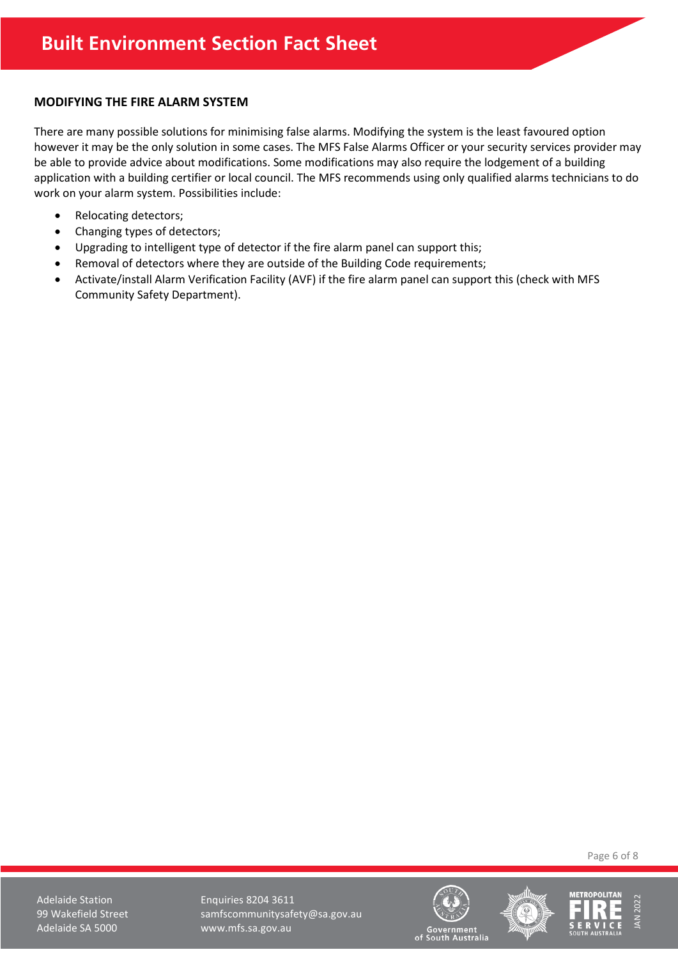### <span id="page-5-0"></span>**MODIFYING THE FIRE ALARM SYSTEM**

There are many possible solutions for minimising false alarms. Modifying the system is the least favoured option however it may be the only solution in some cases. The MFS False Alarms Officer or your security services provider may be able to provide advice about modifications. Some modifications may also require the lodgement of a building application with a building certifier or local council. The MFS recommends using only qualified alarms technicians to do work on your alarm system. Possibilities include:

- Relocating detectors;
- Changing types of detectors;
- Upgrading to intelligent type of detector if the fire alarm panel can support this;
- Removal of detectors where they are outside of the Building Code requirements;
- Activate/install Alarm Verification Facility (AVF) if the fire alarm panel can support this (check with MFS Community Safety Department).

Page 6 of 8

Adelaide Station **Enquiries 8204 3611** 99 Wakefield Street samfscommunitysafety@sa.gov.au Adelaide SA 5000 www.mfs.sa.gov.au





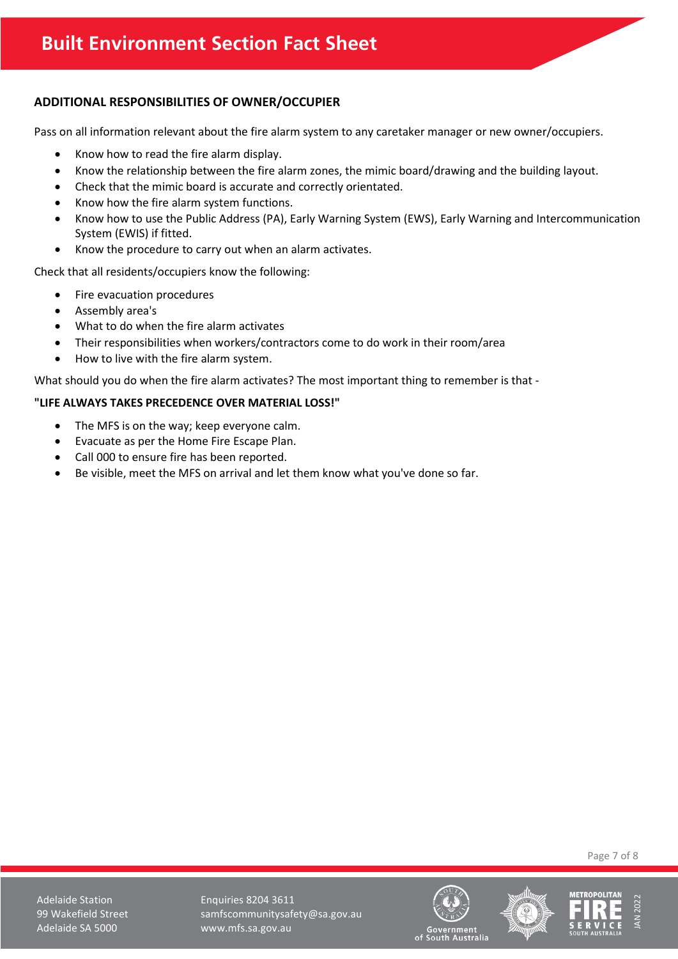# <span id="page-6-0"></span>**ADDITIONAL RESPONSIBILITIES OF OWNER/OCCUPIER**

Pass on all information relevant about the fire alarm system to any caretaker manager or new owner/occupiers.

- Know how to read the fire alarm display.
- Know the relationship between the fire alarm zones, the mimic board/drawing and the building layout.
- Check that the mimic board is accurate and correctly orientated.
- Know how the fire alarm system functions.
- Know how to use the Public Address (PA), Early Warning System (EWS), Early Warning and Intercommunication System (EWIS) if fitted.
- Know the procedure to carry out when an alarm activates.

Check that all residents/occupiers know the following:

- Fire evacuation procedures
- Assembly area's
- What to do when the fire alarm activates
- Their responsibilities when workers/contractors come to do work in their room/area
- How to live with the fire alarm system.

What should you do when the fire alarm activates? The most important thing to remember is that -

# **"LIFE ALWAYS TAKES PRECEDENCE OVER MATERIAL LOSS!"**

- The MFS is on the way; keep everyone calm.
- Evacuate as per the Home Fire Escape Plan.
- Call 000 to ensure fire has been reported.
- Be visible, meet the MFS on arrival and let them know what you've done so far.

Page 7 of 8

Adelaide Station **Enquiries 8204 3611** 99 Wakefield Street samfscommunitysafety@sa.gov.au Adelaide SA 5000 www.mfs.sa.gov.au